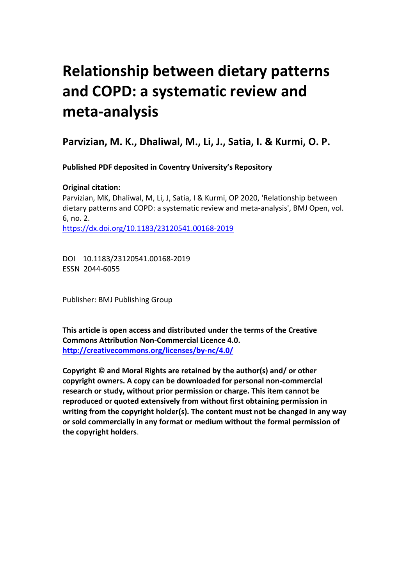# **Relationship between dietary patterns and COPD: a systematic review and meta-analysis**

**Parvizian, M. K., Dhaliwal, M., Li, J., Satia, I. & Kurmi, O. P.**

**Published PDF deposited in Coventry University's Repository** 

**Original citation:** 

Parvizian, MK, Dhaliwal, M, Li, J, Satia, I & Kurmi, OP 2020, 'Relationship between dietary patterns and COPD: a systematic review and meta-analysis', BMJ Open, vol. 6, no. 2. https://dx.doi.org/10.1183/23120541.00168-2019

DOI 10.1183/23120541.00168-2019 ESSN 2044-6055

Publisher: BMJ Publishing Group

**This article is open access and distributed under the terms of the Creative Commons Attribution Non-Commercial Licence 4.0. <http://creativecommons.org/licenses/by-nc/4.0/>**

**Copyright © and Moral Rights are retained by the author(s) and/ or other copyright owners. A copy can be downloaded for personal non-commercial research or study, without prior permission or charge. This item cannot be reproduced or quoted extensively from without first obtaining permission in writing from the copyright holder(s). The content must not be changed in any way or sold commercially in any format or medium without the formal permission of the copyright holders**.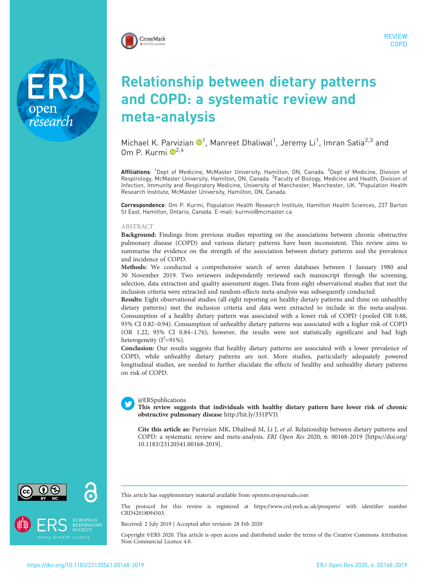

## Relationship between dietary patterns and COPD: a systematic review and meta-analysis

Michael K. Parvizian  $\mathbf{D}^1$ , Manreet Dhaliwal<sup>1</sup>, Jeremy Li<sup>1</sup>, Imran Satia<sup>2,3</sup> and Om P. Kurmi  $\mathbb{D}^{2,4}$  $\mathbb{D}^{2,4}$  $\mathbb{D}^{2,4}$ 

**Affiliations**: <sup>1</sup>Dept of Medicine, McMaster University, Hamilton, ON, Canada. <sup>2</sup>Dept of Medicine, Division of Respirology, McMaster University, Hamilton, ON, Canada. <sup>3</sup>Faculty of Biology, Medicine and Health, Division of Infection, Immunity and Respiratory Medicine, University of Manchester, Manchester, UK. <sup>4</sup>Population Health Research Institute, McMaster University, Hamilton, ON, Canada.

Correspondence: Om P. Kurmi, Population Health Research Institute, Hamilton Health Sciences, 237 Barton St East, Hamilton, Ontario, Canada. E-mail: [kurmio@mcmaster.ca](mailto:kurmio@mcmaster.ca)

#### ABSTRACT

Background: Findings from previous studies reporting on the associations between chronic obstructive pulmonary disease (COPD) and various dietary patterns have been inconsistent. This review aims to summarise the evidence on the strength of the association between dietary patterns and the prevalence and incidence of COPD.

Methods: We conducted a comprehensive search of seven databases between 1 January 1980 and 30 November 2019. Two reviewers independently reviewed each manuscript through the screening, selection, data extraction and quality assessment stages. Data from eight observational studies that met the inclusion criteria were extracted and random-effects meta-analysis was subsequently conducted.

Results: Eight observational studies (all eight reporting on healthy dietary patterns and three on unhealthy dietary patterns) met the inclusion criteria and data were extracted to include in the meta-analysis. Consumption of a healthy dietary pattern was associated with a lower risk of COPD ( pooled OR 0.88, 95% CI 0.82–0.94). Consumption of unhealthy dietary patterns was associated with a higher risk of COPD (OR 1.22, 95% CI 0.84–1.76); however, the results were not statistically significant and had high heterogeneity  $(I^2=91\%)$ .

Conclusion: Our results suggests that healthy dietary patterns are associated with a lower prevalence of COPD, while unhealthy dietary patterns are not. More studies, particularly adequately powered longitudinal studies, are needed to further elucidate the effects of healthy and unhealthy dietary patterns on risk of COPD.

#### @ERSpublications

This review suggests that individuals with healthy dietary pattern have lower risk of chronic obstructive pulmonary disease <http://bit.ly/331PVJ1>

Cite this article as: Parvizian MK, Dhaliwal M, Li J, et al. Relationship between dietary patterns and COPD: a systematic review and meta-analysis. ERJ Open Res 2020; 6: 00168-2019 [\[https://doi.org/](https://doi.org/10.1183/23120541.00168-2019) [10.1183/23120541.00168-2019\].](https://doi.org/10.1183/23120541.00168-2019)



research



This article has supplementary material available from<openres.ersjournals.com>

The protocol for this review is registered at<https://www.crd.york.ac.uk/prospero/> with identifier number CRD42018094503.

Received: 2 July 2019 | Accepted after revision: 28 Feb 2020

Copyright ©ERS 2020. This article is open access and distributed under the terms of the Creative Commons Attribution Non-Commercial Licence 4.0.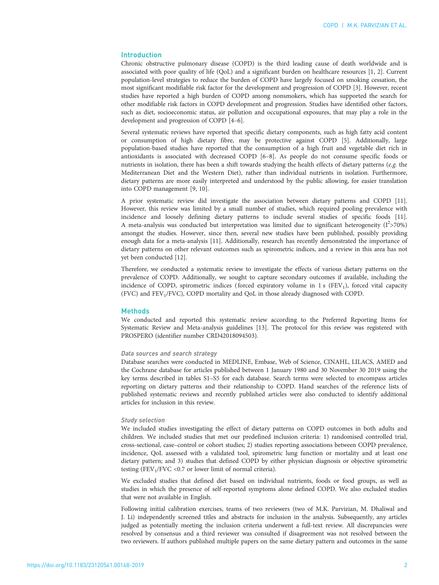### Introduction

Chronic obstructive pulmonary disease (COPD) is the third leading cause of death worldwide and is associated with poor quality of life (QoL) and a significant burden on healthcare resources [[1](#page-9-0), [2](#page-9-0)]. Current population-level strategies to reduce the burden of COPD have largely focused on smoking cessation, the most significant modifiable risk factor for the development and progression of COPD [\[3](#page-9-0)]. However, recent studies have reported a high burden of COPD among nonsmokers, which has supported the search for other modifiable risk factors in COPD development and progression. Studies have identified other factors, such as diet, socioeconomic status, air pollution and occupational exposures, that may play a role in the development and progression of COPD [\[4](#page-10-0)–[6](#page-10-0)].

Several systematic reviews have reported that specific dietary components, such as high fatty acid content or consumption of high dietary fibre, may be protective against COPD [[5\]](#page-10-0). Additionally, large population-based studies have reported that the consumption of a high fruit and vegetable diet rich in antioxidants is associated with decreased COPD [\[6](#page-10-0)–[8\]](#page-10-0). As people do not consume specific foods or nutrients in isolation, there has been a shift towards studying the health effects of dietary patterns ( $e.g.$  the Mediterranean Diet and the Western Diet), rather than individual nutrients in isolation. Furthermore, dietary patterns are more easily interpreted and understood by the public allowing, for easier translation into COPD management [\[9](#page-10-0), [10\]](#page-10-0).

A prior systematic review did investigate the association between dietary patterns and COPD [\[11\]](#page-10-0). However, this review was limited by a small number of studies, which required pooling prevalence with incidence and loosely defining dietary patterns to include several studies of specific foods [\[11\]](#page-10-0). A meta-analysis was conducted but interpretation was limited due to significant heterogeneity ( $I^2$ >70%) amongst the studies. However, since then, several new studies have been published, possibly providing enough data for a meta-analysis [\[11\]](#page-10-0). Additionally, research has recently demonstrated the importance of dietary patterns on other relevant outcomes such as spirometric indices, and a review in this area has not yet been conducted [\[12\]](#page-10-0).

Therefore, we conducted a systematic review to investigate the effects of various dietary patterns on the prevalence of COPD. Additionally, we sought to capture secondary outcomes if available, including the incidence of COPD, spirometric indices (forced expiratory volume in 1 s  $(FEV<sub>1</sub>)$ , forced vital capacity (FVC) and FEV<sub>1</sub>/FVC), COPD mortality and QoL in those already diagnosed with COPD.

#### **Methods**

We conducted and reported this systematic review according to the Preferred Reporting Items for Systematic Review and Meta-analysis guidelines [[13](#page-10-0)]. The protocol for this review was registered with PROSPERO (identifier number CRD42018094503).

#### Data sources and search strategy

Database searches were conducted in MEDLINE, Embase, Web of Science, CINAHL, LILACS, AMED and the Cochrane database for articles published between 1 January 1980 and 30 November 30 2019 using the key terms described in [tables S1](http://openres.ersjournals.com/lookup/doi/10.1183/23120541.00168-2019.figures-only#fig-data-supplementary-materials)–S5 for each database. Search terms were selected to encompass articles reporting on dietary patterns and their relationship to COPD. Hand searches of the reference lists of published systematic reviews and recently published articles were also conducted to identify additional articles for inclusion in this review.

#### Study selection

We included studies investigating the effect of dietary patterns on COPD outcomes in both adults and children. We included studies that met our predefined inclusion criteria: 1) randomised controlled trial, cross-sectional, case–control or cohort studies; 2) studies reporting associations between COPD prevalence, incidence, QoL assessed with a validated tool, spirometric lung function or mortality and at least one dietary pattern; and 3) studies that defined COPD by either physician diagnosis or objective spirometric testing  $(FEV<sub>1</sub>/FVC < 0.7$  or lower limit of normal criteria).

We excluded studies that defined diet based on individual nutrients, foods or food groups, as well as studies in which the presence of self-reported symptoms alone defined COPD. We also excluded studies that were not available in English.

Following initial calibration exercises, teams of two reviewers (two of M.K. Parvizian, M. Dhaliwal and J. Li) independently screened titles and abstracts for inclusion in the analysis. Subsequently, any articles judged as potentially meeting the inclusion criteria underwent a full-text review. All discrepancies were resolved by consensus and a third reviewer was consulted if disagreement was not resolved between the two reviewers. If authors published multiple papers on the same dietary pattern and outcomes in the same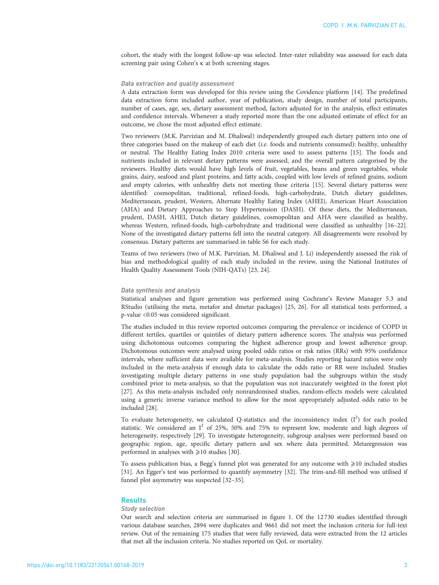cohort, the study with the longest follow-up was selected. Inter-rater reliability was assessed for each data screening pair using Cohen's κ at both screening stages.

#### Data extraction and quality assessment

A data extraction form was developed for this review using the Covidence platform [\[14\]](#page-10-0). The predefined data extraction form included author, year of publication, study design, number of total participants, number of cases, age, sex, dietary assessment method, factors adjusted for in the analysis, effect estimates and confidence intervals. Whenever a study reported more than the one adjusted estimate of effect for an outcome, we chose the most adjusted effect estimate.

Two reviewers (M.K. Parvizian and M. Dhaliwal) independently grouped each dietary pattern into one of three categories based on the makeup of each diet (i.e. foods and nutrients consumed): healthy, unhealthy or neutral. The Healthy Eating Index 2010 criteria were used to assess patterns [[15](#page-10-0)]. The foods and nutrients included in relevant dietary patterns were assessed, and the overall pattern categorised by the reviewers. Healthy diets would have high levels of fruit, vegetables, beans and green vegetables, whole grains, dairy, seafood and plant proteins, and fatty acids, coupled with low levels of refined grains, sodium and empty calories, with unhealthy diets not meeting these criteria [\[15\]](#page-10-0). Several dietary patterns were identified: cosmopolitan, traditional, refined-foods, high-carbohydrate, Dutch dietary guidelines, Mediterranean, prudent, Western, Alternate Healthy Eating Index (AHEI), American Heart Association (AHA) and Dietary Approaches to Stop Hypertension (DASH). Of these diets, the Mediterranean, prudent, DASH, AHEI, Dutch dietary guidelines, cosmopolitan and AHA were classified as healthy, whereas Western, refined-foods, high-carbohydrate and traditional were classified as unhealthy [[16](#page-10-0)–[22\]](#page-10-0). None of the investigated dietary patterns fell into the neutral category. All disagreements were resolved by consensus. Dietary patterns are summarised in [table S6](http://openres.ersjournals.com/lookup/doi/10.1183/23120541.00168-2019.figures-only#fig-data-supplementary-materials) for each study.

Teams of two reviewers (two of M.K. Parvizian, M. Dhaliwal and J. Li) independently assessed the risk of bias and methodological quality of each study included in the review, using the National Institutes of Health Quality Assessment Tools (NIH-QATs) [\[23, 24](#page-10-0)].

#### Data synthesis and analysis

Statistical analyses and figure generation was performed using Cochrane's Review Manager 5.3 and RStudio (utilising the meta, metafor and dmetar packages) [\[25, 26](#page-10-0)]. For all statistical tests performed, a p-value <0.05 was considered significant.

The studies included in this review reported outcomes comparing the prevalence or incidence of COPD in different tertiles, quartiles or quintiles of dietary pattern adherence scores. The analysis was performed using dichotomous outcomes comparing the highest adherence group and lowest adherence group. Dichotomous outcomes were analysed using pooled odds ratios or risk ratios (RRs) with 95% confidence intervals, where sufficient data were available for meta-analysis. Studies reporting hazard ratios were only included in the meta-analysis if enough data to calculate the odds ratio or RR were included. Studies investigating multiple dietary patterns in one study population had the subgroups within the study combined prior to meta-analysis, so that the population was not inaccurately weighted in the forest plot [[27](#page-10-0)]. As this meta-analysis included only nonrandomised studies, random-effects models were calculated using a generic inverse variance method to allow for the most appropriately adjusted odds ratio to be included [\[28\]](#page-10-0).

To evaluate heterogeneity, we calculated Q-statistics and the inconsistency index  $(I^2)$  for each pooled statistic. We considered an  $I^2$  of 25%, 50% and 75% to represent low, moderate and high degrees of heterogeneity, respectively [[29](#page-10-0)]. To investigate heterogeneity, subgroup analyses were performed based on geographic region, age, specific dietary pattern and sex where data permitted. Metaregression was performed in analyses with  $\geq 10$  studies [\[30\]](#page-10-0).

To assess publication bias, a Begg's funnel plot was generated for any outcome with  $\geqslant$ 10 included studies [[31](#page-10-0)]. An Egger's test was performed to quantify asymmetry [\[32\]](#page-10-0). The trim-and-fill method was utilised if funnel plot asymmetry was suspected [\[32](#page-10-0)–[35](#page-10-0)].

#### Results

#### Study selection

Our search and selection criteria are summarised in [figure 1.](#page-4-0) Of the 12 730 studies identified through various database searches, 2894 were duplicates and 9661 did not meet the inclusion criteria for full-text review. Out of the remaining 175 studies that were fully reviewed, data were extracted from the 12 articles that met all the inclusion criteria. No studies reported on QoL or mortality.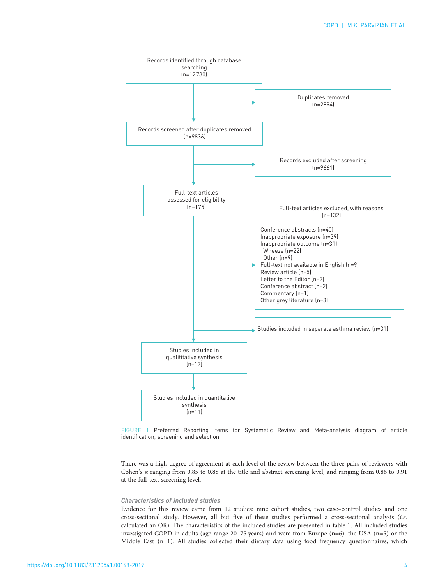<span id="page-4-0"></span>

FIGURE 1 Preferred Reporting Items for Systematic Review and Meta-analysis diagram of article identification, screening and selection.

There was a high degree of agreement at each level of the review between the three pairs of reviewers with Cohen's κ ranging from 0.85 to 0.88 at the title and abstract screening level, and ranging from 0.86 to 0.91 at the full-text screening level.

#### Characteristics of included studies

Evidence for this review came from 12 studies: nine cohort studies, two case–control studies and one cross-sectional study. However, all but five of these studies performed a cross-sectional analysis (i.e. calculated an OR). The characteristics of the included studies are presented in [table 1.](#page-5-0) All included studies investigated COPD in adults (age range 20–75 years) and were from Europe (n=6), the USA (n=5) or the Middle East (n=1). All studies collected their dietary data using food frequency questionnaires, which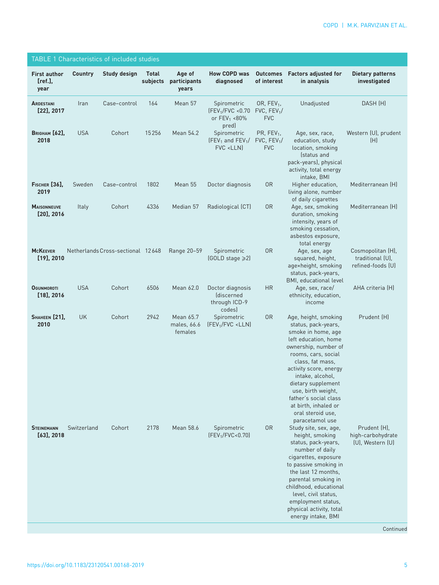#### <span id="page-5-0"></span>TABLE 1 Characteristics of included studies First author [ref.], year Country Study design Total subjects Age of participants years How COPD was diagnosed **Outcomes** of interest Factors adjusted for in analysis Dietary patterns investigated ARDESTANI [22], 2017 Iran Case–control 164 Mean 57 Spirometric  $[FEV<sub>1</sub>/FVC < 0.70]$ or  $FEV_1$  <80% pred) OR, FEV<sub>1</sub>, FVC, FEV1/ FVC Unadjusted DASH (H) BRIGHAM [\[62\]](#page-11-0). 2018 USA Cohort 15 256 Mean 54.2 Spirometric  $(FEV<sub>1</sub>$  and  $FEV<sub>1</sub>/$ FVC <LLN) PR, FEV<sub>1</sub>, FVC,  $FEV<sub>1</sub>$ / FVC Age, sex, race, education, study location, smoking (status and pack-years), physical activity, total energy intake, BMI Western (U), prudent (H) FISCHER [36], 2019 Sweden Case–control 1802 Mean 55 Doctor diagnosis OR Higher education, living alone, number of daily cigarettes Mediterranean (H) **MAISONNEUVE** [20], 2016 Italy Cohort 4336 Median 57 Radiological (CT) OR Age, sex, smoking duration, smoking intensity, years of smoking cessation, asbestos exposure, total energy Mediterranean (H) **MCKEEVER** [19], 2010 Netherlands Cross-sectional 12 648 Range 20–59 Spirometric  $(GOLD stage \geq 2)$ OR Age, sex, age squared, height, age×height, smoking status, pack-years, BMI, educational level Cosmopolitan (H), traditional (U), refined-foods (U) **OGUNMOROTI** [18], 2016 USA Cohort 6506 Mean 62.0 Doctor diagnosis (discerned through ICD-9 codes) HR Age, sex, race/ ethnicity, education, income AHA criteria (H) SHAHEEN [21], 2010 UK Cohort 2942 Mean 65.7 males, 66.6 females Spirometric  $(FEV<sub>1</sub>/FVC < LLN)$ OR Age, height, smoking status, pack-years, smoke in home, age left education, home ownership, number of rooms, cars, social class, fat mass, activity score, energy intake, alcohol, dietary supplement use, birth weight, father's social class at birth, inhaled or oral steroid use, paracetamol use Prudent (H) **STEINEMANN** [[63](#page-11-0)], 2018 Switzerland Cohort 2178 Mean 58.6 Spirometric (FEV1/FVC<0.70) OR Study site, sex, age, height, smoking status, pack-years, number of daily cigarettes, exposure to passive smoking in the last 12 months, parental smoking in childhood, educational level, civil status, employment status, physical activity, total energy intake, BMI Prudent (H), high-carbohydrate (U), Western (U)

Continued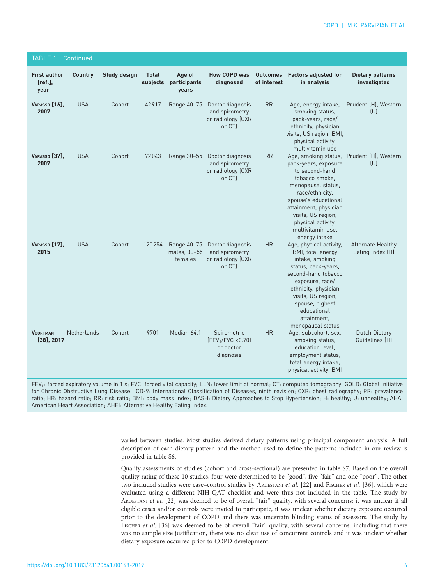| <b>TABLE 1</b>                         | Continued   |                     |                          |                                        |                                                                         |                                |                                                                                                                                                                                                                                                                                   |                                         |
|----------------------------------------|-------------|---------------------|--------------------------|----------------------------------------|-------------------------------------------------------------------------|--------------------------------|-----------------------------------------------------------------------------------------------------------------------------------------------------------------------------------------------------------------------------------------------------------------------------------|-----------------------------------------|
| <b>First author</b><br>[ref.].<br>year | Country     | <b>Study design</b> | <b>Total</b><br>subjects | Age of<br>participants<br>years        | <b>How COPD was</b><br>diagnosed                                        | <b>Outcomes</b><br>of interest | <b>Factors adjusted for</b><br>in analysis                                                                                                                                                                                                                                        | <b>Dietary patterns</b><br>investigated |
| VARASSO [16],<br>2007                  | <b>USA</b>  | Cohort              | 42917                    | Range 40-75                            | Doctor diagnosis<br>and spirometry<br>or radiology (CXR<br>or CTI       | <b>RR</b>                      | Age, energy intake,<br>smoking status,<br>pack-years, race/<br>ethnicity, physician<br>visits, US region, BMI,<br>physical activity,<br>multivitamin use                                                                                                                          | Prudent (H), Western<br>(U)             |
| VARASSO <sup>[37]</sup> ,<br>2007      | <b>USA</b>  | Cohort              | 72043                    | Range 30-55                            | Doctor diagnosis<br>and spirometry<br>or radiology (CXR<br>or CTI       | <b>RR</b>                      | Age, smoking status, Prudent (H), Western<br>pack-years, exposure<br>to second-hand<br>tobacco smoke.<br>menopausal status,<br>race/ethnicity,<br>spouse's educational<br>attainment, physician<br>visits, US region,<br>physical activity,<br>multivitamin use,<br>energy intake | (U)                                     |
| VARASSO [17].<br>2015                  | <b>USA</b>  | Cohort              | 120254                   | Range 40-75<br>males, 30-55<br>females | Doctor diagnosis<br>and spirometry<br>or radiology (CXR<br>or CTI       | <b>HR</b>                      | Age, physical activity,<br>BMI, total energy<br>intake, smoking<br>status, pack-years,<br>second-hand tobacco<br>exposure, race/<br>ethnicity, physician<br>visits, US region,<br>spouse, highest<br>educational<br>attainment,<br>menopausal status                              | Alternate Healthy<br>Eating Index (H)   |
| <b>VOORTMAN</b><br>$[38]$ , 2017       | Netherlands | Cohort              | 9701                     | Median 64.1                            | Spirometric<br>[FEV <sub>1</sub> /FVC < 0.70]<br>or doctor<br>diagnosis | <b>HR</b>                      | Age, subcohort, sex,<br>smoking status,<br>education level.<br>employment status,<br>total energy intake,<br>physical activity, BMI                                                                                                                                               | <b>Dutch Dietary</b><br>Guidelines (H)  |

FEV<sub>1</sub>: forced expiratory volume in 1 s; FVC: forced vital capacity; LLN: lower limit of normal; CT: computed tomography; GOLD: Global Initiative for Chronic Obstructive Lung Disease; ICD-9: International Classification of Diseases, ninth revision; CXR: chest radiography; PR: prevalence ratio; HR: hazard ratio; RR: risk ratio; BMI: body mass index; DASH: Dietary Approaches to Stop Hypertension; H: healthy; U: unhealthy; AHA: American Heart Association; AHEI: Alternative Healthy Eating Index.

> varied between studies. Most studies derived dietary patterns using principal component analysis. A full description of each dietary pattern and the method used to define the patterns included in our review is provided in [table S6](http://openres.ersjournals.com/lookup/doi/10.1183/23120541.00168-2019.figures-only#fig-data-supplementary-materials).

> Quality assessments of studies (cohort and cross-sectional) are presented in [table S7](http://openres.ersjournals.com/lookup/doi/10.1183/23120541.00168-2019.figures-only#fig-data-supplementary-materials). Based on the overall quality rating of these 10 studies, four were determined to be "good", five "fair" and one "poor". The other two included studies were case-control studies by ARDESTANI et al. [\[22\]](#page-10-0) and FISCHER et al. [[36\]](#page-10-0), which were evaluated using a different NIH-QAT checklist and were thus not included in the table. The study by ARDESTANI et al. [\[22\]](#page-10-0) was deemed to be of overall "fair" quality, with several concerns: it was unclear if all eligible cases and/or controls were invited to participate, it was unclear whether dietary exposure occurred prior to the development of COPD and there was uncertain blinding status of assessors. The study by FISCHER et al. [[36\]](#page-10-0) was deemed to be of overall "fair" quality, with several concerns, including that there was no sample size justification, there was no clear use of concurrent controls and it was unclear whether dietary exposure occurred prior to COPD development.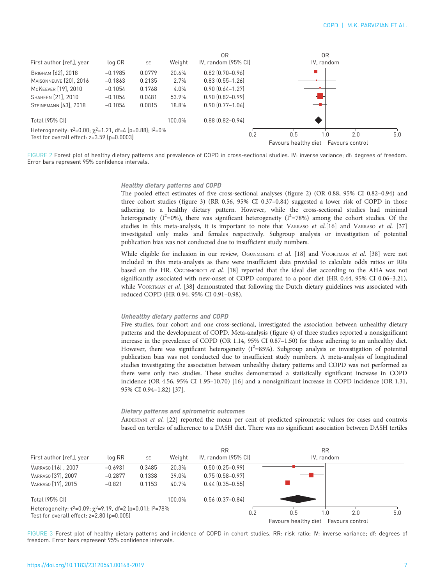

FIGURE 2 Forest plot of healthy dietary patterns and prevalence of COPD in cross-sectional studies. IV: inverse variance; df: degrees of freedom. Error bars represent 95% confidence intervals.

#### Healthy dietary patterns and COPD

The pooled effect estimates of five cross-sectional analyses (figure 2) (OR 0.88, 95% CI 0.82–0.94) and three cohort studies (figure 3) (RR 0.56, 95% CI 0.37–0.84) suggested a lower risk of COPD in those adhering to a healthy dietary pattern. However, while the cross-sectional studies had minimal heterogeneity ( $I^2$ =0%), there was significant heterogeneity ( $I^2$ =78%) among the cohort studies. Of the studies in this meta-analysis, it is important to note that VARRASO et al. [[16](#page-10-0)] and VARRASO et al. [\[37\]](#page-10-0) investigated only males and females respectively. Subgroup analysis or investigation of potential publication bias was not conducted due to insufficient study numbers.

While eligible for inclusion in our review, OGUNMOROTI et al. [[18\]](#page-10-0) and VOORTMAN et al. [\[38\]](#page-10-0) were not included in this meta-analysis as there were insufficient data provided to calculate odds ratios or RRs based on the HR. OGUNMOROTI et al. [[18](#page-10-0)] reported that the ideal diet according to the AHA was not significantly associated with new-onset of COPD compared to a poor diet (HR 0.44, 95% CI 0.06–3.21), while VOORTMAN et al. [\[38](#page-10-0)] demonstrated that following the Dutch dietary guidelines was associated with reduced COPD (HR 0.94, 95% CI 0.91–0.98).

#### Unhealthy dietary patterns and COPD

Five studies, four cohort and one cross-sectional, investigated the association between unhealthy dietary patterns and the development of COPD. Meta-analysis [\(figure 4\)](#page-8-0) of three studies reported a nonsignificant increase in the prevalence of COPD (OR 1.14, 95% CI 0.87–1.50) for those adhering to an unhealthy diet. However, there was significant heterogeneity ( $I^2$ =85%). Subgroup analysis or investigation of potential publication bias was not conducted due to insufficient study numbers. A meta-analysis of longitudinal studies investigating the association between unhealthy dietary patterns and COPD was not performed as there were only two studies. These studies demonstrated a statistically significant increase in COPD incidence (OR 4.56, 95% CI 1.95–10.70) [\[16\]](#page-10-0) and a nonsignificant increase in COPD incidence (OR 1.31, 95% CI 0.94–1.82) [\[37\]](#page-10-0).

#### Dietary patterns and spirometric outcomes

ARDESTANI et al. [\[22](#page-10-0)] reported the mean per cent of predicted spirometric values for cases and controls based on tertiles of adherence to a DASH diet. There was no significant association between DASH tertiles



FIGURE 3 Forest plot of healthy dietary patterns and incidence of COPD in cohort studies. RR: risk ratio; IV: inverse variance; df: degrees of freedom. Error bars represent 95% confidence intervals.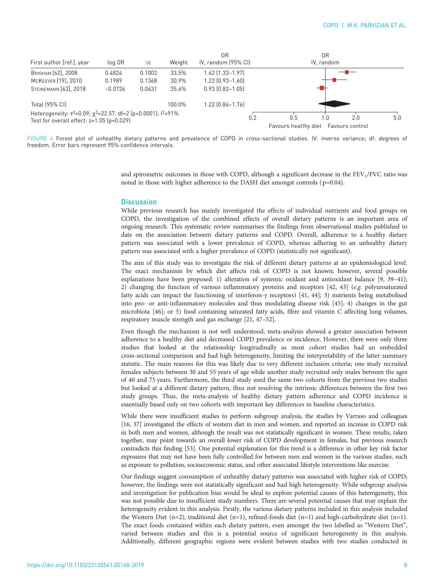<span id="page-8-0"></span>

FIGURE 4 Forest plot of unhealthy dietary patterns and prevalence of COPD in cross-sectional studies. IV: inverse variance; df: degrees of freedom. Error bars represent 95% confidence intervals.

and spirometric outcomes in those with COPD, although a significant decrease in the  $FEV<sub>1</sub>/FVC$  ratio was noted in those with higher adherence to the DASH diet amongst controls (p=0.04).

#### **Discussion**

While previous research has mainly investigated the effects of individual nutrients and food groups on COPD, the investigation of the combined effects of overall dietary patterns is an important area of ongoing research. This systematic review summarises the findings from observational studies published to date on the association between dietary patterns and COPD. Overall, adherence to a healthy dietary pattern was associated with a lower prevalence of COPD, whereas adhering to an unhealthy dietary pattern was associated with a higher prevalence of COPD (statistically not significant).

The aim of this study was to investigate the risk of different dietary patterns at an epidemiological level. The exact mechanism by which diet affects risk of COPD is not known; however, several possible explanations have been proposed: 1) alteration of systemic oxidant and antioxidant balance [[9, 39](#page-10-0)–[41\]](#page-10-0); 2) changing the function of various inflammatory proteins and receptors [[42](#page-10-0), [43\]](#page-10-0) (e.g. polyunsaturated fatty acids can impact the functioning of interferon-γ receptors) [[41](#page-10-0), [44](#page-11-0)]; 3) nutrients being metabolised into pro- or anti-inflammatory molecules and thus modulating disease risk [[45](#page-11-0)]; 4) changes in the gut microbiota [\[46\]](#page-11-0); or 5) food containing saturated fatty acids, fibre and vitamin C affecting lung volumes, respiratory muscle strength and gas exchange [\[21,](#page-10-0) [47](#page-11-0)–[52](#page-11-0)].

Even though the mechanism is not well understood, meta-analysis showed a greater association between adherence to a healthy diet and decreased COPD prevalence or incidence. However, there were only three studies that looked at the relationship longitudinally as most cohort studies had an embedded cross-sectional comparison and had high heterogeneity, limiting the interpretability of the latter summary statistic. The main reasons for this was likely due to very different inclusion criteria; one study recruited females subjects between 30 and 55 years of age while another study recruited only males between the ages of 40 and 75 years. Furthermore, the third study used the same two cohorts from the previous two studies but looked at a different dietary pattern, thus not resolving the intrinsic differences between the first two study groups. Thus, the meta-analysis of healthy dietary pattern adherence and COPD incidence is essentially based only on two cohorts with important key differences in baseline characteristics.

While there were insufficient studies to perform subgroup analysis, the studies by Varraso and colleagues [\[16, 37](#page-10-0)] investigated the effects of western diet in men and women, and reported an increase in COPD risk in both men and women, although the result was not statistically significant in women. These results, taken together, may point towards an overall lower risk of COPD development in females, but previous research contradicts this finding [\[53\]](#page-11-0). One potential explanation for this trend is a difference in other key risk factor exposures that may not have been fully controlled for between men and women in the various studies, such as exposure to pollution, socioeconomic status, and other associated lifestyle interventions like exercise.

Our findings suggest consumption of unhealthy dietary patterns was associated with higher risk of COPD; however, the findings were not statistically significant and had high heterogeneity. While subgroup analysis and investigation for publication bias would be ideal to explore potential causes of this heterogeneity, this was not possible due to insufficient study numbers. There are several potential causes that may explain the heterogeneity evident in this analysis. Firstly, the various dietary patterns included in this analysis included the Western Diet (n=2), traditional diet (n=1), refined-foods diet (n=1) and high-carbohydrate diet (n=1). The exact foods contained within each dietary pattern, even amongst the two labelled as "Western Diet", varied between studies and this is a potential source of significant heterogeneity in this analysis. Additionally, different geographic regions were evident between studies with two studies conducted in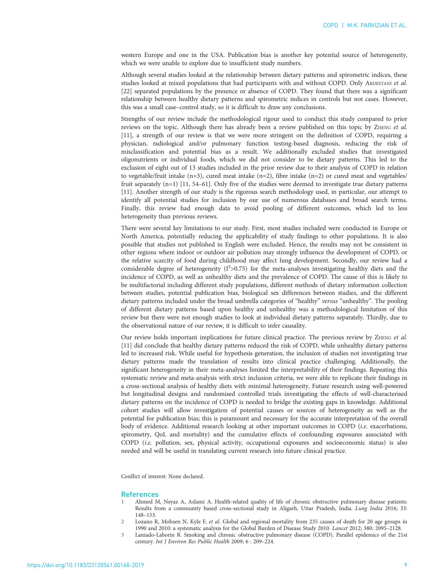<span id="page-9-0"></span>western Europe and one in the USA. Publication bias is another key potential source of heterogeneity, which we were unable to explore due to insufficient study numbers.

Although several studies looked at the relationship between dietary patterns and spirometric indices, these studies looked at mixed populations that had participants with and without COPD. Only ARDESTANI et al. [[22](#page-10-0)] separated populations by the presence or absence of COPD. They found that there was a significant relationship between healthy dietary patterns and spirometric indices in controls but not cases. However, this was a small case–control study, so it is difficult to draw any conclusions.

Strengths of our review include the methodological rigour used to conduct this study compared to prior reviews on the topic. Although there has already been a review published on this topic by ZHENG et al. [[11](#page-10-0)], a strength of our review is that we were more stringent on the definition of COPD, requiring a physician, radiological and/or pulmonary function testing-based diagnosis, reducing the risk of misclassification and potential bias as a result. We additionally excluded studies that investigated oligonutrients or individual foods, which we did not consider to be dietary patterns. This led to the exclusion of eight out of 13 studies included in the prior review due to their analysis of COPD in relation to vegetable/fruit intake  $(n=3)$ , cured meat intake  $(n=2)$ , fibre intake  $(n=2)$  or cured meat and vegetables/ fruit separately (n=1) [[11](#page-10-0), [54](#page-11-0)–[61\]](#page-11-0). Only five of the studies were deemed to investigate true dietary patterns [[11](#page-10-0)]. Another strength of our study is the rigorous search methodology used, in particular, our attempt to identify all potential studies for inclusion by our use of numerous databases and broad search terms. Finally, this review had enough data to avoid pooling of different outcomes, which led to less heterogeneity than previous reviews.

There were several key limitations to our study. First, most studies included were conducted in Europe or North America, potentially reducing the applicability of study findings to other populations. It is also possible that studies not published in English were excluded. Hence, the results may not be consistent in other regions where indoor or outdoor air pollution may strongly influence the development of COPD, or the relative scarcity of food during childhood may affect lung development. Secondly, our review had a considerable degree of heterogeneity  $(I^2>0.75)$  for the meta-analyses investigating healthy diets and the incidence of COPD, as well as unhealthy diets and the prevalence of COPD. The cause of this is likely to be multifactorial including different study populations, different methods of dietary information collection between studies, potential publication bias, biological sex differences between studies, and the different dietary patterns included under the broad umbrella categories of "healthy" versus "unhealthy". The pooling of different dietary patterns based upon healthy and unhealthy was a methodological limitation of this review but there were not enough studies to look at individual dietary patterns separately. Thirdly, due to the observational nature of our review, it is difficult to infer causality.

Our review holds important implications for future clinical practice. The previous review by ZHENG et al. [[11](#page-10-0)] did conclude that healthy dietary patterns reduced the risk of COPD, while unhealthy dietary patterns led to increased risk. While useful for hypothesis generation, the inclusion of studies not investigating true dietary patterns made the translation of results into clinical practice challenging. Additionally, the significant heterogeneity in their meta-analyses limited the interpretability of their findings. Repeating this systematic review and meta-analysis with strict inclusion criteria, we were able to replicate their findings in a cross-sectional analysis of healthy diets with minimal heterogeneity. Future research using well-powered but longitudinal designs and randomised controlled trials investigating the effects of well-characterised dietary patterns on the incidence of COPD is needed to bridge the existing gaps in knowledge. Additional cohort studies will allow investigation of potential causes or sources of heterogeneity as well as the potential for publication bias; this is paramount and necessary for the accurate interpretation of the overall body of evidence. Additional research looking at other important outcomes in COPD (i.e. exacerbations, spirometry, QoL and mortality) and the cumulative effects of confounding exposures associated with COPD (i.e. pollution, sex, physical activity, occupational exposures and socioeconomic status) is also needed and will be useful in translating current research into future clinical practice.

Conflict of interest: None declared.

#### **References**

- 1 Ahmed M, Neyaz A, Aslami A. Health-related quality of life of chronic obstructive pulmonary disease patients: Results from a community based cross-sectional study in Aligarh, Uttar Pradesh, India. Lung India 2016; 33: 148–153.
- Lozano R, Mohsen N, Kyle F, et al. Global and regional mortality from 235 causes of death for 20 age groups in 1990 and 2010: a systematic analysis for the Global Burden of Disease Study 2010. Lancet 2012; 380: 2095–2128.
- 3 Laniado-Laborin R. Smoking and chronic obstructive pulmonary disease (COPD). Parallel epidemics of the 21st century. Int J Environ Res Public Health 2009; 6 : 209–224.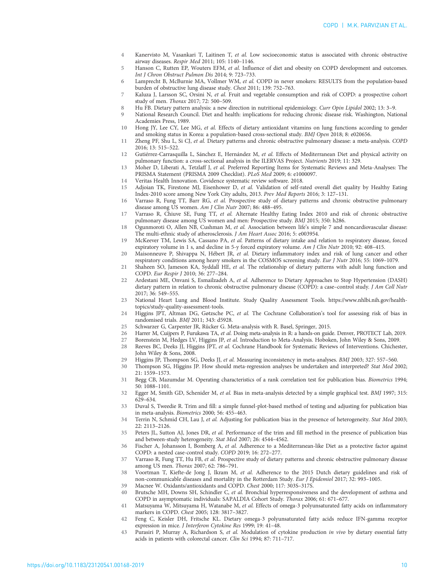- <span id="page-10-0"></span>4 Kanervisto M, Vasankari T, Laitinen T, et al. Low socioeconomic status is associated with chronic obstructive airway diseases. Respir Med 2011; 105: 1140–1146.
- 5 Hanson C, Rutten EP, Wouters EFM, et al. Influence of diet and obesity on COPD development and outcomes. Int J Chron Obstruct Pulmon Dis 2014; 9: 723–733.
- 6 Lamprecht B, McBurnie MA, Vollmer WM, et al. COPD in never smokers: RESULTS from the population-based burden of obstructive lung disease study. Chest 2011; 139: 752–763.
- Kaluza J, Larsson SC, Orsini N, et al. Fruit and vegetable consumption and risk of COPD: a prospective cohort study of men. Thorax 2017; 72: 500–509.
- 8 Hu FB. Dietary pattern analysis: a new direction in nutritional epidemiology. Curr Opin Lipidol 2002; 13: 3–9.
- 9 National Research Council. Diet and health: implications for reducing chronic disease risk. Washington, National Academies Press, 1989.
- 10 Hong JY, Lee CY, Lee MG, et al. Effects of dietary antioxidant vitamins on lung functions according to gender and smoking status in Korea: a population-based cross-sectional study. BMJ Open 2018; 8: e020656.
- 11 Zheng PF, Shu L, Si CJ, et al. Dietary patterns and chronic obstructive pulmonary disease: a meta-analysis. COPD 2016; 13: 515–522.
- 12 Gutiérrez-Carrasquilla L, Sánchez E, Hernández M, et al. Effects of Mediterranean Diet and physical activity on pulmonary function: a cross-sectional analysis in the ILERVAS Project. Nutrients 2019; 11: 329.
- 13 Moher D, Liberati A, Tetzlaff J, et al. Preferred Reporting Items for Systematic Reviews and Meta-Analyses: The PRISMA Statement (PRISMA 2009 Checklist). PLoS Med 2009; 6: e1000097.
- 14 Veritas Health Innovation. Covidence systematic review software. 2018. 15 Adjoian TK, Firestone MJ, Eisenhower D, et al. Validation of self-rated overall diet quality by Healthy Eating
- Index-2010 score among New York City adults, 2013. Prev Med Reports 2016; 3: 127–131. 16 Varraso R, Fung TT, Barr RG, et al. Prospective study of dietary patterns and chronic obstructive pulmonary
- disease among US women. Am J Clin Nutr 2007; 86: 488–495.
- 17 Varraso R, Chiuve SE, Fung TT, et al. Alternate Healthy Eating Index 2010 and risk of chronic obstructive pulmonary disease among US women and men: Prospective study. BMJ 2015; 350: h286.
- 18 Ogunmoroti O, Allen NB, Cushman M, et al. Association between life's simple 7 and noncardiovascular disease: The multi-ethnic study of atherosclerosis. J Am Heart Assoc 2016; 5: e003954.
- 19 McKeever TM, Lewis SA, Cassano PA, et al. Patterns of dietary intake and relation to respiratory disease, forced expiratory volume in 1 s, and decline in 5-y forced expiratory volume. Am J Clin Nutr 2010; 92: 408–415.
- 20 Maisonneuve P, Shivappa N, Hébert JR, et al. Dietary inflammatory index and risk of lung cancer and other respiratory conditions among heavy smokers in the COSMOS screening study. Eur J Nutr 2016; 55: 1069–1079.
- 21 Shaheen SO, Jameson KA, Syddall HE, et al. The relationship of dietary patterns with adult lung function and COPD. Eur Respir J 2010; 36: 277–284.
- 22 Ardestani ME, Onvani S, Esmailzadeh A, et al. Adherence to Dietary Approaches to Stop Hypertension (DASH) dietary pattern in relation to chronic obstructive pulmonary disease (COPD): a case-control study. J Am Coll Nutr 2017; 36: 549–555.
- 23 National Heart Lung and Blood Institute. Study Quality Assessment Tools. [https://www.nhlbi.nih.gov/health](https://www.nhlbi.nih.gov/health-topics/study-quality-assessment-tools)[topics/study-quality-assessment-tools.](https://www.nhlbi.nih.gov/health-topics/study-quality-assessment-tools)
- 24 Higgins JPT, Altman DG, Gøtzsche PC, et al. The Cochrane Collaboration's tool for assessing risk of bias in randomised trials. BMJ 2011; 343: d5928.
- 25 Schwarzer G, Carpenter JR, Rücker G. Meta-analysis with R. Basel, Springer, 2015.
- 26 Harrer M, Cuijpers P, Furukawa TA, et al. Doing meta-analysis in R: a hands-on guide. Denver, PROTECT Lab, 2019.
- 27 Borenstein M, Hedges LV, Higgins JP, et al. Introduction to Meta-Analysis. Hoboken, John Wiley & Sons, 2009.
- 28 Reeves BC, Deeks JJ, Higgins JPT, et al. Cochrane Handbook for Systematic Reviews of Interventions. Chichester, John Wiley & Sons, 2008.
- 29 Higgins JP, Thompson SG, Deeks JJ, et al. Measuring inconsistency in meta-analyses. BMJ 2003; 327: 557–560.
- 30 Thompson SG, Higgins JP. How should meta-regression analyses be undertaken and interpreted? Stat Med 2002; 21: 1559–1573.
- 31 Begg CB, Mazumdar M. Operating characteristics of a rank correlation test for publication bias. Biometrics 1994; 50: 1088–1101.
- 32 Egger M, Smith GD, Schenider M, et al. Bias in meta-analysis detected by a simple graphical test. BMJ 1997; 315: 629–634.
- 33 Duval S, Tweedie R. Trim and fill: a simple funnel-plot-based method of testing and adjusting for publication bias in meta-analysis. Biometrics 2000; 56: 455–463.
- 34 Terrin N, Schmid CH, Lau J, et al. Adjusting for publication bias in the presence of heterogeneity. Stat Med 2003; 22: 2113–2126.
- 35 Peters JL, Sutton AJ, Jones DR, et al. Performance of the trim and fill method in the presence of publication bias and between-study heterogeneity. Stat Med 2007; 26: 4544–4562.
- 36 Fischer A, Johansson I, Bomberg A, et al. Adherence to a Mediterranean-like Diet as a protective factor against COPD: a nested case-control study. COPD 2019; 16: 272–277.
- 37 Varraso R, Fung TT, Hu FB, et al. Prospective study of dietary patterns and chronic obstructive pulmonary disease among US men. Thorax 2007; 62: 786–791.
- 38 Voortman T, Kiefte-de Jong J, Ikram M, et al. Adherence to the 2015 Dutch dietary guidelines and risk of non-communicable diseases and mortality in the Rotterdam Study. Eur J Epidemiol 2017; 32: 993–1005.
- 39 Macnee W. Oxidants/antioxidants and COPD. Chest 2000; 117: 303S–317S.
- 40 Brutsche MH, Downs SH, Schindler C, et al. Bronchial hyperresponsiveness and the development of asthma and COPD in asymptomatic individuals: SAPALDIA Cohort Study. Thorax 2006; 61: 671–677.
- 41 Matsuyama W, Mitsuyama H, Watanabe M, et al. Effects of omega-3 polyunsaturated fatty acids on inflammatory markers in COPD. Chest 2005; 128: 3817–3827.
- 42 Feng C, Keisler DH, Fritsche KL. Dietary omega-3 polyunsaturated fatty acids reduce IFN-gamma receptor expression in mice. J Interferon Cytokine Res 1999; 19: 41–48.
- 43 Purasiri P, Murray A, Richardson S, et al. Modulation of cytokine production in vivo by dietary essential fatty acids in patients with colorectal cancer. Clin Sci 1994; 87: 711–717.